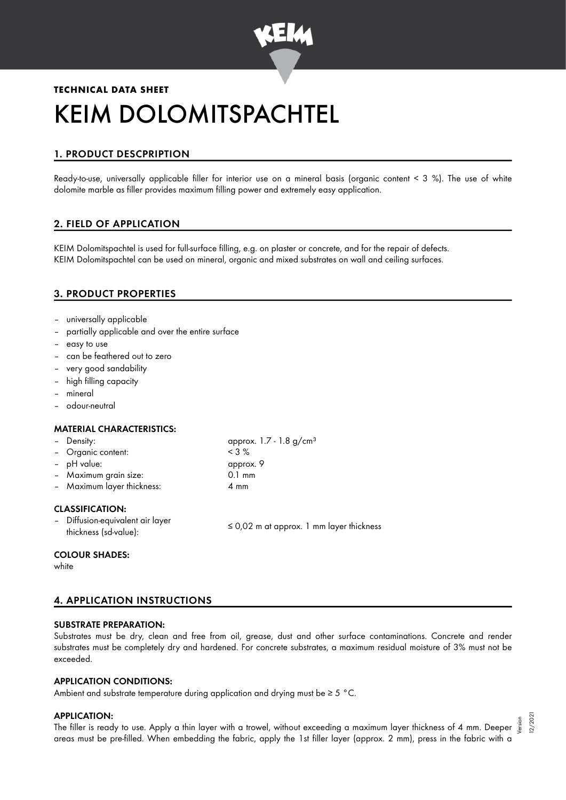

# **TECHNICAL DATA SHEET** KEIM DOLOMITSPACHTEL

# 1. PRODUCT DESCPRIPTION

Ready-to-use, universally applicable filler for interior use on a mineral basis (organic content < 3 %). The use of white dolomite marble as filler provides maximum filling power and extremely easy application.

# 2. FIELD OF APPLICATION

KEIM Dolomitspachtel is used for full-surface filling, e.g. on plaster or concrete, and for the repair of defects. KEIM Dolomitspachtel can be used on mineral, organic and mixed substrates on wall and ceiling surfaces.

# 3. PRODUCT PROPERTIES

- universally applicable
- partially applicable and over the entire surface
- easy to use
- can be feathered out to zero
- very good sandability
- high filling capacity
- mineral
- odour-neutral

### MATERIAL CHARACTERISTICS:

| - Density:                 | approx. $1.7 - 1.8$ g/cm <sup>3</sup> |
|----------------------------|---------------------------------------|
| - Organic content:         | $<$ 3 %                               |
| - pH value:                | approx. 9                             |
| - Maximum grain size:      | $0.1 \text{ mm}$                      |
| - Maximum layer thickness: | 4 mm                                  |
|                            |                                       |

## CLASSIFICATION:

– Diffusion-equivalent air layer Diriusion-equivalent air layer<br> $\leq 0.02$  m at approx. 1 mm layer thickness (sd-value):

### COLOUR SHADES:

white

# 4. APPLICATION INSTRUCTIONS

## SUBSTRATE PREPARATION:

Substrates must be dry, clean and free from oil, grease, dust and other surface contaminations. Concrete and render substrates must be completely dry and hardened. For concrete substrates, a maximum residual moisture of 3% must not be exceeded.

## APPLICATION CONDITIONS:

Ambient and substrate temperature during application and drying must be  $\geq 5$  °C.

### APPLICATION:

a APPLICATION:<br>The filler is ready to use. Apply a thin layer with a trowel, without exceeding a maximum layer thickness of 4 mm. Deeper ﷺ areas must be pre-filled. When embedding the fabric, apply the 1st filler layer (approx. 2 mm), press in the fabric with a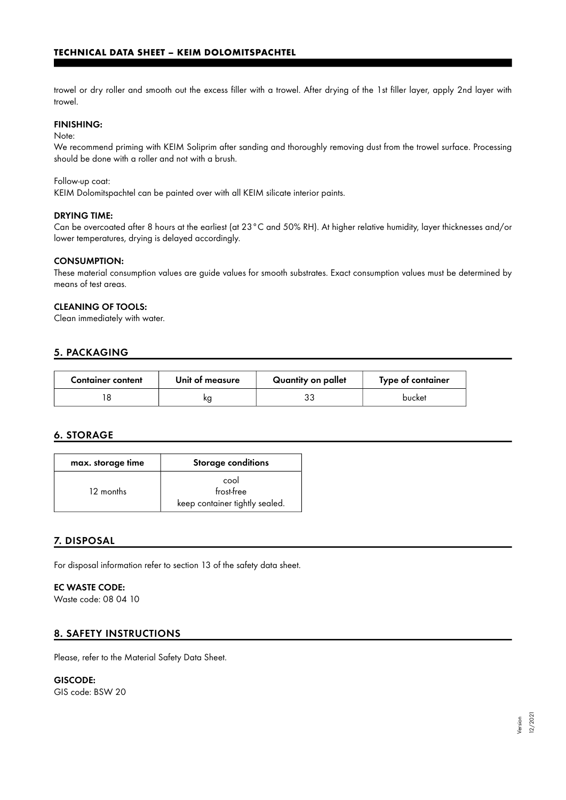trowel or dry roller and smooth out the excess filler with a trowel. After drying of the 1st filler layer, apply 2nd layer with trowel.

## FINISHING:

Note:

We recommend priming with KEIM Soliprim after sanding and thoroughly removing dust from the trowel surface. Processing should be done with a roller and not with a brush.

Follow-up coat:

KEIM Dolomitspachtel can be painted over with all KEIM silicate interior paints.

#### DRYING TIME:

Can be overcoated after 8 hours at the earliest (at 23°C and 50% RH). At higher relative humidity, layer thicknesses and/or lower temperatures, drying is delayed accordingly.

### CONSUMPTION:

These material consumption values are guide values for smooth substrates. Exact consumption values must be determined by means of test areas.

## CLEANING OF TOOLS:

Clean immediately with water.

## 5. PACKAGING

| <b>Container content</b> | Unit of measure | Quantity on pallet | Type of container |
|--------------------------|-----------------|--------------------|-------------------|
|                          | ĸa              | د.                 | bucket            |

## 6. STORAGE

| max. storage time | <b>Storage conditions</b>                            |
|-------------------|------------------------------------------------------|
| 12 months         | cool<br>frost-free<br>keep container tightly sealed. |

## 7. DISPOSAL

For disposal information refer to section 13 of the safety data sheet.

# EC WASTE CODE:

Waste code: 08 04 10

## 8. SAFETY INSTRUCTIONS

Please, refer to the Material Safety Data Sheet.

GISCODE: GIS code: BSW 20